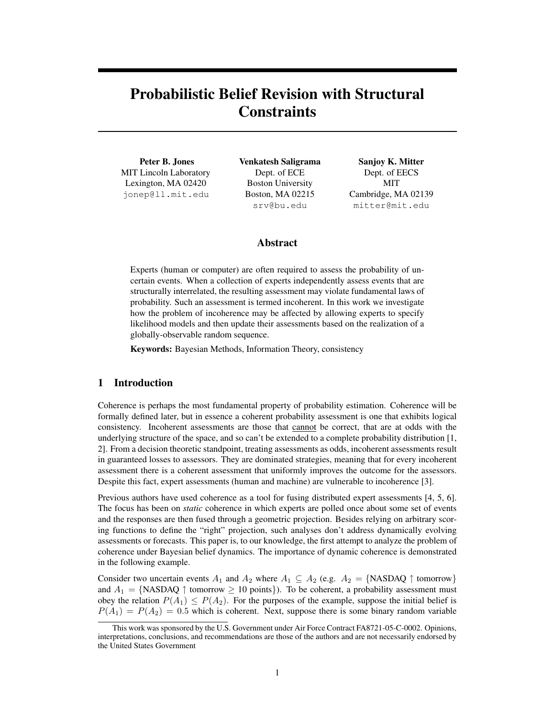# Probabilistic Belief Revision with Structural **Constraints**

Peter B. Jones MIT Lincoln Laboratory Lexington, MA 02420 jonep@ll.mit.edu

Venkatesh Saligrama Dept. of ECE Boston University Boston, MA 02215 srv@bu.edu

Sanjoy K. Mitter Dept. of EECS MIT Cambridge, MA 02139 mitter@mit.edu

# Abstract

Experts (human or computer) are often required to assess the probability of uncertain events. When a collection of experts independently assess events that are structurally interrelated, the resulting assessment may violate fundamental laws of probability. Such an assessment is termed incoherent. In this work we investigate how the problem of incoherence may be affected by allowing experts to specify likelihood models and then update their assessments based on the realization of a globally-observable random sequence.

Keywords: Bayesian Methods, Information Theory, consistency

# 1 Introduction

Coherence is perhaps the most fundamental property of probability estimation. Coherence will be formally defined later, but in essence a coherent probability assessment is one that exhibits logical consistency. Incoherent assessments are those that cannot be correct, that are at odds with the underlying structure of the space, and so can't be extended to a complete probability distribution [1, 2]. From a decision theoretic standpoint, treating assessments as odds, incoherent assessments result in guaranteed losses to assessors. They are dominated strategies, meaning that for every incoherent assessment there is a coherent assessment that uniformly improves the outcome for the assessors. Despite this fact, expert assessments (human and machine) are vulnerable to incoherence [3].

Previous authors have used coherence as a tool for fusing distributed expert assessments [4, 5, 6]. The focus has been on *static* coherence in which experts are polled once about some set of events and the responses are then fused through a geometric projection. Besides relying on arbitrary scoring functions to define the "right" projection, such analyses don't address dynamically evolving assessments or forecasts. This paper is, to our knowledge, the first attempt to analyze the problem of coherence under Bayesian belief dynamics. The importance of dynamic coherence is demonstrated in the following example.

Consider two uncertain events  $A_1$  and  $A_2$  where  $A_1 \subseteq A_2$  (e.g.  $A_2 = \{NASDAQ \uparrow \text{tomorrow}\}\$ and  $A_1 = \{NASDAQ \uparrow \text{tomorrow} \geq 10 \text{ points}\}.$  To be coherent, a probability assessment must obey the relation  $P(A_1) \leq P(A_2)$ . For the purposes of the example, suppose the initial belief is  $P(A_1) = P(A_2) = 0.5$  which is coherent. Next, suppose there is some binary random variable

This work was sponsored by the U.S. Government under Air Force Contract FA8721-05-C-0002. Opinions, interpretations, conclusions, and recommendations are those of the authors and are not necessarily endorsed by the United States Government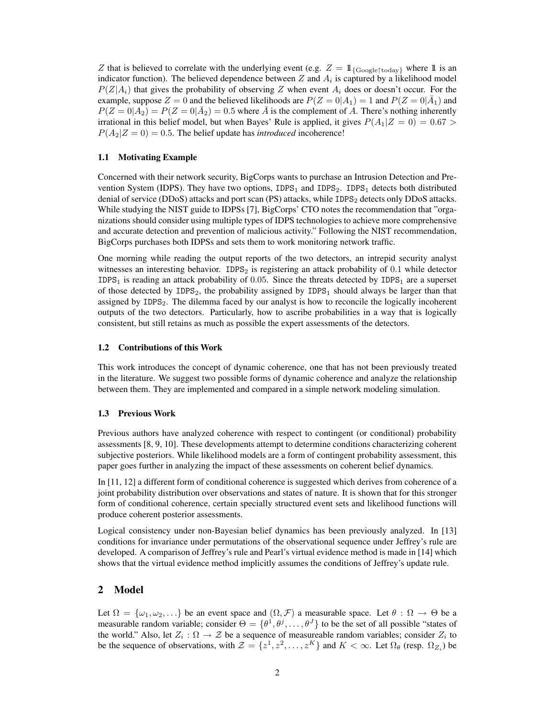Z that is believed to correlate with the underlying event (e.g.  $Z = 1$ <sub>{Google↑today}</sub> where 1 is an indicator function). The believed dependence between Z and  $A_i$  is captured by a likelihood model  $P(Z|A_i)$  that gives the probability of observing Z when event  $A_i$  does or doesn't occur. For the example, suppose  $Z = 0$  and the believed likelihoods are  $P(Z = 0|A_1) = 1$  and  $P(Z = 0|\bar{A}_1)$  and  $P(Z=0|A_2) = P(Z=0|\bar{A}_2) = 0.5$  where  $\bar{A}$  is the complement of  $\bar{A}$ . There's nothing inherently irrational in this belief model, but when Bayes' Rule is applied, it gives  $P(A_1|Z=0) = 0.67 >$  $P(A_2|Z=0) = 0.5$ . The belief update has *introduced* incoherence!

## 1.1 Motivating Example

Concerned with their network security, BigCorps wants to purchase an Intrusion Detection and Prevention System (IDPS). They have two options,  $IDPS<sub>1</sub>$  and  $IDPS<sub>2</sub>$ . IDPS<sub>1</sub> detects both distributed denial of service (DDoS) attacks and port scan (PS) attacks, while IDPS<sub>2</sub> detects only DDoS attacks. While studying the NIST guide to IDPSs [7], BigCorps' CTO notes the recommendation that "organizations should consider using multiple types of IDPS technologies to achieve more comprehensive and accurate detection and prevention of malicious activity." Following the NIST recommendation, BigCorps purchases both IDPSs and sets them to work monitoring network traffic.

One morning while reading the output reports of the two detectors, an intrepid security analyst witnesses an interesting behavior.  $IDPS<sub>2</sub>$  is registering an attack probability of 0.1 while detector IDPS<sub>1</sub> is reading an attack probability of 0.05. Since the threats detected by IDPS<sub>1</sub> are a superset of those detected by  $IDPS<sub>2</sub>$ , the probability assigned by  $IDPS<sub>1</sub>$  should always be larger than that assigned by IDPS<sub>2</sub>. The dilemma faced by our analyst is how to reconcile the logically incoherent outputs of the two detectors. Particularly, how to ascribe probabilities in a way that is logically consistent, but still retains as much as possible the expert assessments of the detectors.

## 1.2 Contributions of this Work

This work introduces the concept of dynamic coherence, one that has not been previously treated in the literature. We suggest two possible forms of dynamic coherence and analyze the relationship between them. They are implemented and compared in a simple network modeling simulation.

## 1.3 Previous Work

Previous authors have analyzed coherence with respect to contingent (or conditional) probability assessments [8, 9, 10]. These developments attempt to determine conditions characterizing coherent subjective posteriors. While likelihood models are a form of contingent probability assessment, this paper goes further in analyzing the impact of these assessments on coherent belief dynamics.

In [11, 12] a different form of conditional coherence is suggested which derives from coherence of a joint probability distribution over observations and states of nature. It is shown that for this stronger form of conditional coherence, certain specially structured event sets and likelihood functions will produce coherent posterior assessments.

Logical consistency under non-Bayesian belief dynamics has been previously analyzed. In [13] conditions for invariance under permutations of the observational sequence under Jeffrey's rule are developed. A comparison of Jeffrey's rule and Pearl's virtual evidence method is made in [14] which shows that the virtual evidence method implicitly assumes the conditions of Jeffrey's update rule.

## 2 Model

Let  $\Omega = {\omega_1, \omega_2, \ldots}$  be an event space and  $(\Omega, \mathcal{F})$  a measurable space. Let  $\theta : \Omega \to \Theta$  be a measurable random variable; consider  $\Theta = \{\theta^1, \theta^j, \dots, \theta^J\}$  to be the set of all possible "states of the world." Also, let  $Z_i$ :  $\Omega \to \mathcal{Z}$  be a sequence of measureable random variables; consider  $Z_i$  to be the sequence of observations, with  $\mathcal{Z} = \{z^1, z^2, \dots, z^K\}$  and  $K < \infty$ . Let  $\Omega_{\theta}$  (resp.  $\Omega_{Z_i}$ ) be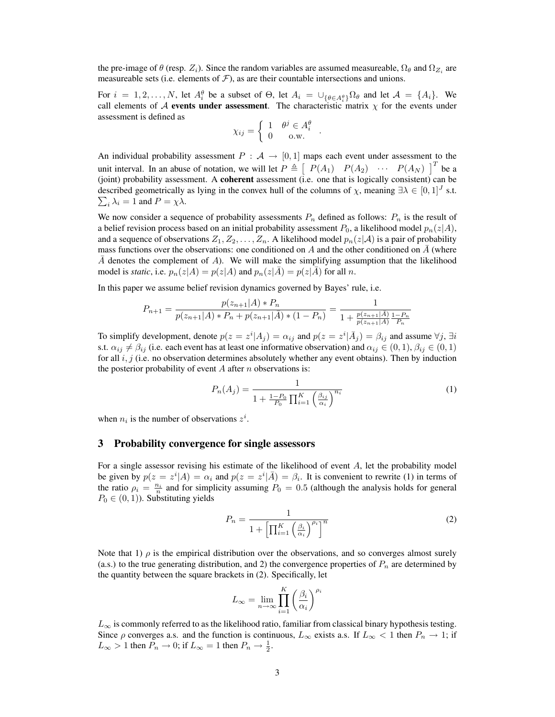the pre-image of  $\theta$  (resp.  $Z_i$ ). Since the random variables are assumed measureable,  $\Omega_{\theta}$  and  $\Omega_{Z_i}$  are measureable sets (i.e. elements of  $\mathcal{F}$ ), as are their countable intersections and unions.

For  $i = 1, 2, ..., N$ , let  $A_i^{\theta}$  be a subset of  $\Theta$ , let  $A_i = \bigcup_{\{\theta \in A_i^{\theta}\}} \Omega_{\theta}$  and let  $A = \{A_i\}$ . We call elements of A events under assessment. The characteristic matrix  $\chi$  for the events under assessment is defined as ½

$$
\chi_{ij} = \begin{cases} 1 & \theta^j \in A_i^{\theta} \\ 0 & \text{o.w.} \end{cases}
$$

.

An individual probability assessment  $P : \mathcal{A} \to [0, 1]$  maps each event under assessment to the unit interval. In an abuse of notation, we will let  $P \triangleq$  $\begin{bmatrix} P(A_1) & P(A_2) & \cdots & P(A_N) \end{bmatrix}^T$  be a (joint) probability assessment. A coherent assessment (i.e. one that is logically consistent) can be described geometrically as lying in the convex hull of the columns of  $\chi$ , meaning  $\exists \lambda \in [0,1]^J$  s.t.  $i_{i} \lambda_{i} = 1$  and  $P = \chi \lambda$ .

We now consider a sequence of probability assessments  $P_n$  defined as follows:  $P_n$  is the result of a belief revision process based on an initial probability assessment  $P_0$ , a likelihood model  $p_n(z|A)$ , and a sequence of observations  $Z_1, Z_2, \ldots, Z_n$ . A likelihood model  $p_n(z|\mathcal{A})$  is a pair of probability mass functions over the observations: one conditioned on A and the other conditioned on  $\overline{A}$  (where  $\overline{A}$  denotes the complement of A). We will make the simplifying assumption that the likelihood model is *static*, i.e.  $p_n(z|A) = p(z|A)$  and  $p_n(z|\overline{A}) = p(z|\overline{A})$  for all n.

In this paper we assume belief revision dynamics governed by Bayes' rule, i.e.

$$
P_{n+1} = \frac{p(z_{n+1}|A) * P_n}{p(z_{n+1}|A) * P_n + p(z_{n+1}|\overline{A}) * (1 - P_n)} = \frac{1}{1 + \frac{p(z_{n+1}|\overline{A})}{p(z_{n+1}|\overline{A})} \frac{1 - P_n}{P_n}}
$$

To simplify development, denote  $p(z = z^i | A_j) = \alpha_{ij}$  and  $p(z = z^i | \bar{A}_j) = \beta_{ij}$  and assume  $\forall j$ ,  $\exists i$ s.t.  $\alpha_{ij} \neq \beta_{ij}$  (i.e. each event has at least one informative observation) and  $\alpha_{ij} \in (0,1), \beta_{ij} \in (0,1)$ for all  $i, j$  (i.e. no observation determines absolutely whether any event obtains). Then by induction the posterior probability of event  $A$  after  $n$  observations is:

$$
P_n(A_j) = \frac{1}{1 + \frac{1 - P_0}{P_0} \prod_{i=1}^K \left(\frac{\beta_{ij}}{\alpha_i}\right)^{n_i}}
$$
(1)

when  $n_i$  is the number of observations  $z^i$ .

## 3 Probability convergence for single assessors

For a single assessor revising his estimate of the likelihood of event A, let the probability model be given by  $p(z = z^i | A) = \alpha_i$  and  $p(z = z^i | \overline{A}) = \beta_i$ . It is convenient to rewrite (1) in terms of the ratio  $\rho_i = \frac{n_i}{n}$  and for simplicity assuming  $P_0 = 0.5$  (although the analysis holds for general  $P_0 \in (0, 1)$ ). Substituting yields

$$
P_n = \frac{1}{1 + \left[\prod_{i=1}^K \left(\frac{\beta_i}{\alpha_i}\right)^{\rho_i}\right]^n}
$$
\n(2)

Note that 1)  $\rho$  is the empirical distribution over the observations, and so converges almost surely (a.s.) to the true generating distribution, and 2) the convergence properties of  $P_n$  are determined by the quantity between the square brackets in (2). Specifically, let

$$
L_{\infty} = \lim_{n \to \infty} \prod_{i=1}^{K} \left(\frac{\beta_i}{\alpha_i}\right)^{\rho_i}
$$

 $L_{\infty}$  is commonly referred to as the likelihood ratio, familiar from classical binary hypothesis testing. Since  $\rho$  converges a.s. and the function is continuous,  $L_{\infty}$  exists a.s. If  $L_{\infty} < 1$  then  $P_n \to 1$ ; if  $L_{\infty} > 1$  then  $P_n \to 0$ ; if  $L_{\infty} = 1$  then  $P_n \to \frac{1}{2}$ .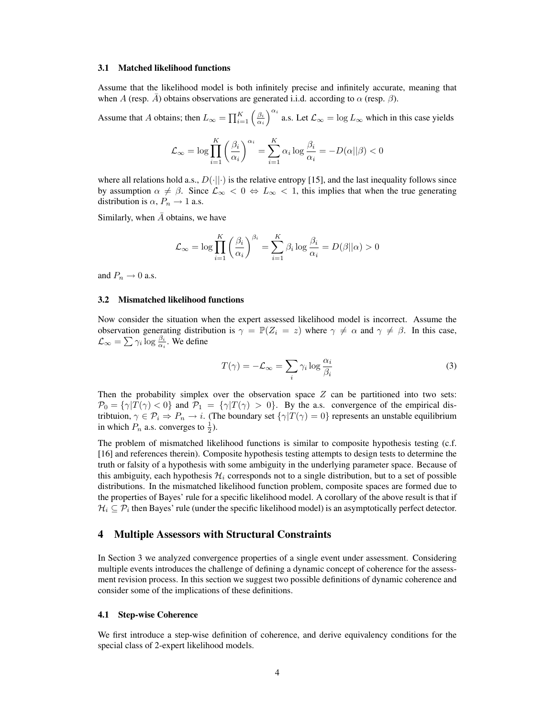## 3.1 Matched likelihood functions

Assume that the likelihood model is both infinitely precise and infinitely accurate, meaning that when A (resp.  $\bar{A}$ ) obtains observations are generated i.i.d. according to  $\alpha$  (resp.  $\beta$ ).

Assume that A obtains; then  $L_{\infty} = \prod_{i=1}^{K} \left( \frac{\beta_i}{\alpha_i} \right)$  $\sqrt{\alpha_i}$ a.s. Let  $\mathcal{L}_{\infty} = \log L_{\infty}$  which in this case yields

$$
\mathcal{L}_{\infty} = \log \prod_{i=1}^{K} \left( \frac{\beta_i}{\alpha_i} \right)^{\alpha_i} = \sum_{i=1}^{K} \alpha_i \log \frac{\beta_i}{\alpha_i} = -D(\alpha||\beta) < 0
$$

where all relations hold a.s.,  $D(||\cdot||)$  is the relative entropy [15], and the last inequality follows since by assumption  $\alpha \neq \beta$ . Since  $\mathcal{L}_{\infty} < 0 \Leftrightarrow L_{\infty} < 1$ , this implies that when the true generating distribution is  $\alpha$ ,  $P_n \rightarrow 1$  a.s.

Similarly, when  $\overline{A}$  obtains, we have

$$
\mathcal{L}_{\infty} = \log \prod_{i=1}^{K} \left( \frac{\beta_i}{\alpha_i} \right)^{\beta_i} = \sum_{i=1}^{K} \beta_i \log \frac{\beta_i}{\alpha_i} = D(\beta || \alpha) > 0
$$

and  $P_n \to 0$  a.s.

## 3.2 Mismatched likelihood functions

Now consider the situation when the expert assessed likelihood model is incorrect. Assume the observation generating distribution is  $\gamma = \mathbb{P}(Z_i = z)$  where  $\gamma \neq \alpha$  and  $\gamma \neq \beta$ . In this case,  $\mathcal{L}_{\infty} = \sum \gamma_i \log \frac{\beta_i}{\alpha_i}$ . We define

$$
T(\gamma) = -\mathcal{L}_{\infty} = \sum_{i} \gamma_i \log \frac{\alpha_i}{\beta_i}
$$
 (3)

Then the probability simplex over the observation space  $Z$  can be partitioned into two sets:  $\mathcal{P}_0 = \{ \gamma | T(\gamma) < 0 \}$  and  $\mathcal{P}_1 = \{ \gamma | T(\gamma) > 0 \}$ . By the a.s. convergence of the empirical distribtuion,  $\gamma \in \mathcal{P}_i \Rightarrow P_n \to i$ . (The boundary set  $\{\gamma | T(\gamma) = 0\}$  represents an unstable equilibrium in which  $P_n$  a.s. converges to  $\frac{1}{2}$ ).

The problem of mismatched likelihood functions is similar to composite hypothesis testing (c.f. [16] and references therein). Composite hypothesis testing attempts to design tests to determine the truth or falsity of a hypothesis with some ambiguity in the underlying parameter space. Because of this ambiguity, each hypothesis  $\mathcal{H}_i$  corresponds not to a single distribution, but to a set of possible distributions. In the mismatched likelihood function problem, composite spaces are formed due to the properties of Bayes' rule for a specific likelihood model. A corollary of the above result is that if  $\mathcal{H}_i \subseteq \mathcal{P}_i$  then Bayes' rule (under the specific likelihood model) is an asymptotically perfect detector.

## 4 Multiple Assessors with Structural Constraints

In Section 3 we analyzed convergence properties of a single event under assessment. Considering multiple events introduces the challenge of defining a dynamic concept of coherence for the assessment revision process. In this section we suggest two possible definitions of dynamic coherence and consider some of the implications of these definitions.

#### 4.1 Step-wise Coherence

We first introduce a step-wise definition of coherence, and derive equivalency conditions for the special class of 2-expert likelihood models.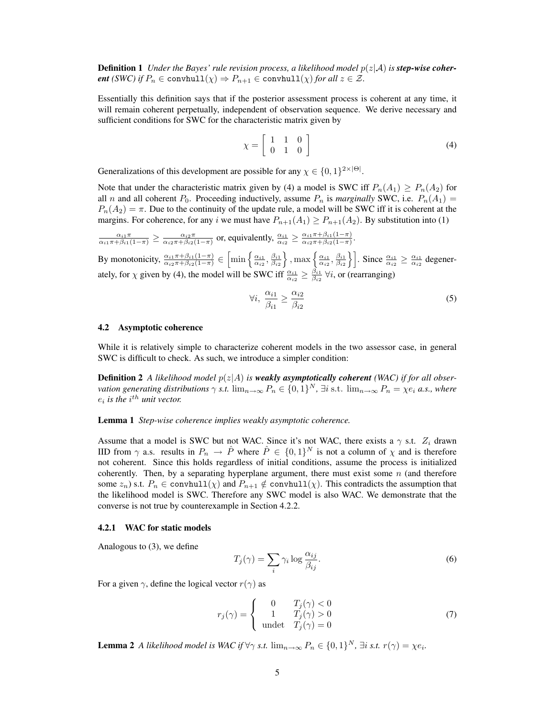**Definition 1** *Under the Bayes' rule revision process, a likelihood model*  $p(z|A)$  *is step-wise coherent (SWC) if*  $P_n \in \text{convhull}(\chi) \Rightarrow P_{n+1} \in \text{convhull}(\chi)$  *for all*  $z \in \mathcal{Z}$ *.* 

Essentially this definition says that if the posterior assessment process is coherent at any time, it will remain coherent perpetually, independent of observation sequence. We derive necessary and sufficient conditions for SWC for the characteristic matrix given by

$$
\chi = \left[ \begin{array}{ccc} 1 & 1 & 0 \\ 0 & 1 & 0 \end{array} \right] \tag{4}
$$

Generalizations of this development are possible for any  $\chi \in \{0,1\}^{2 \times |\Theta|}$ .

Note that under the characteristic matrix given by (4) a model is SWC iff  $P_n(A_1) \ge P_n(A_2)$  for all *n* and all coherent  $P_0$ . Proceeding inductively, assume  $P_n$  is *marginally* SWC, i.e.  $P_n(A_1)$  $P_n(A_2) = \pi$ . Due to the continuity of the update rule, a model will be SWC iff it is coherent at the margins. For coherence, for any i we must have  $P_{n+1}(A_1) \ge P_{n+1}(A_2)$ . By substitution into (1)

 $\frac{\alpha_{i1}\pi}{\alpha_{i1}\pi+\beta_{i1}(1-\pi)} \ge \frac{\alpha_{i2}\pi}{\alpha_{i2}\pi+\beta_{i2}(1-\pi)}$  or, equivalently,  $\frac{\alpha_{i1}}{\alpha_{i2}} \ge \frac{\alpha_{i1}\pi+\beta_{i1}(1-\pi)}{\alpha_{i2}\pi+\beta_{i2}(1-\pi)}$  $\frac{\alpha_{i1}\pi + \beta_{i1}(1-\pi)}{\alpha_{i2}\pi + \beta_{i2}(1-\pi)}$ .

By monotonicity,  $\frac{\alpha_{i1}\pi + \beta_{i1}(1-\pi)}{\alpha_{i2}\pi + \beta_{i2}(1-\pi)} \in$  $\left[\min\left\{\frac{\alpha_{i1}}{\alpha_{i2}},\frac{\beta_{i1}}{\beta_{i2}}\right.\right.$  $\Big\}$ , max  $\Big\{ \frac{\alpha_{i1}}{\alpha_{i2}}, \frac{\beta_{i1}}{\beta_{i2}} \Big\}$  $\frac{1}{2}$ . Since  $\frac{\alpha_{i1}}{\alpha_{i2}} \ge \frac{\alpha_{i1}}{\alpha_{i2}}$  degenerately, for  $\chi$  given by (4), the model will be SWC iff  $\frac{\alpha_{i1}}{\alpha_{i2}} \ge \frac{\beta_{i1}}{\beta_{i2}} \,\forall i$ , or (rearranging)

$$
\forall i, \ \frac{\alpha_{i1}}{\beta_{i1}} \ge \frac{\alpha_{i2}}{\beta_{i2}} \tag{5}
$$

#### 4.2 Asymptotic coherence

While it is relatively simple to characterize coherent models in the two assessor case, in general SWC is difficult to check. As such, we introduce a simpler condition:

**Definition 2** *A likelihood model*  $p(z|A)$  *is* **weakly asymptotically coherent** *(WAC) if for all observation generating distributions*  $\gamma$  *s.t.*  $\lim_{n\to\infty} P_n \in \{0,1\}^N$ ,  $\exists i$  s.t.  $\lim_{n\to\infty} P_n = \chi e_i$  *a.s., where*  $e_i$  is the  $i^{th}$  unit vector.

Lemma 1 *Step-wise coherence implies weakly asymptotic coherence.*

Assume that a model is SWC but not WAC. Since it's not WAC, there exists a  $\gamma$  s.t.  $Z_i$  drawn IID from  $\gamma$  a.s. results in  $P_n \to \hat{P}$  where  $\hat{P} \in \{0,1\}^N$  is not a column of  $\chi$  and is therefore not coherent. Since this holds regardless of initial conditions, assume the process is initialized coherently. Then, by a separating hyperplane argument, there must exist some  $n$  (and therefore some  $z_n$ ) s.t.  $P_n \in \text{convhull}(\chi)$  and  $P_{n+1} \notin \text{convhull}(\chi)$ . This contradicts the assumption that the likelihood model is SWC. Therefore any SWC model is also WAC. We demonstrate that the converse is not true by counterexample in Section 4.2.2.

## 4.2.1 WAC for static models

Analogous to (3), we define

$$
T_j(\gamma) = \sum_i \gamma_i \log \frac{\alpha_{ij}}{\beta_{ij}}.\tag{6}
$$

For a given  $\gamma$ , define the logical vector  $r(\gamma)$  as

$$
r_j(\gamma) = \begin{cases} 0 & T_j(\gamma) < 0\\ 1 & T_j(\gamma) > 0\\ \text{undet} & T_j(\gamma) = 0 \end{cases}
$$
 (7)

**Lemma 2** *A likelihood model is WAC if*  $\forall \gamma$  *s.t.*  $\lim_{n\to\infty} P_n \in \{0,1\}^N$ ,  $\exists i$  *s.t.*  $r(\gamma) = \chi e_i$ .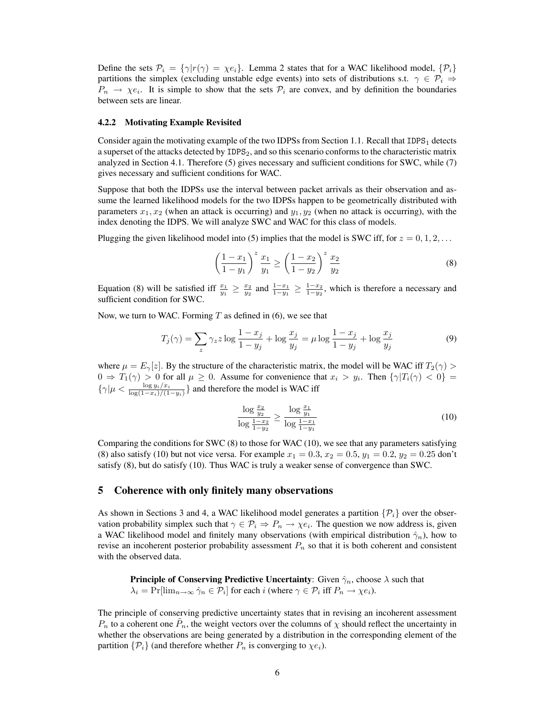Define the sets  $\mathcal{P}_i = \{ \gamma | r(\gamma) = \chi e_i \}$ . Lemma 2 states that for a WAC likelihood model,  $\{ \mathcal{P}_i \}$ partitions the simplex (excluding unstable edge events) into sets of distributions s.t.  $\gamma \in \mathcal{P}_i \Rightarrow$  $P_n \to \chi e_i$ . It is simple to show that the sets  $P_i$  are convex, and by definition the boundaries between sets are linear.

#### 4.2.2 Motivating Example Revisited

Consider again the motivating example of the two IDPSs from Section 1.1. Recall that  $IDPS<sub>1</sub>$  detects a superset of the attacks detected by IDPS2, and so this scenario conforms to the characteristic matrix analyzed in Section 4.1. Therefore (5) gives necessary and sufficient conditions for SWC, while (7) gives necessary and sufficient conditions for WAC.

Suppose that both the IDPSs use the interval between packet arrivals as their observation and assume the learned likelihood models for the two IDPSs happen to be geometrically distributed with parameters  $x_1, x_2$  (when an attack is occurring) and  $y_1, y_2$  (when no attack is occurring), with the index denoting the IDPS. We will analyze SWC and WAC for this class of models.

Plugging the given likelihood model into (5) implies that the model is SWC iff, for  $z = 0, 1, 2, \ldots$ 

$$
\left(\frac{1-x_1}{1-y_1}\right)^z \frac{x_1}{y_1} \ge \left(\frac{1-x_2}{1-y_2}\right)^z \frac{x_2}{y_2} \tag{8}
$$

Equation (8) will be satisfied iff  $\frac{x_1}{y_1} \ge \frac{x_2}{y_2}$  and  $\frac{1-x_1}{1-y_1} \ge \frac{1-x_2}{1-y_2}$ , which is therefore a necessary and sufficient condition for SWC.

Now, we turn to WAC. Forming  $T$  as defined in (6), we see that

$$
T_j(\gamma) = \sum_{z} \gamma_z z \log \frac{1 - x_j}{1 - y_j} + \log \frac{x_j}{y_j} = \mu \log \frac{1 - x_j}{1 - y_j} + \log \frac{x_j}{y_j}
$$
(9)

where  $\mu = E_{\gamma}[z]$ . By the structure of the characteristic matrix, the model will be WAC iff  $T_2(\gamma)$  $0 \Rightarrow T_1(\gamma) > 0$  for all  $\mu \geq 0$ . Assume for convenience that  $x_i > y_i$ . Then  $\{\gamma | T_i(\gamma) < 0\} =$  $\{\gamma|\mu < \frac{\log y_i/x_i}{\log(1-x_i)/(1-y_i)}\}$  and therefore the model is WAC iff

$$
\frac{\log \frac{x_2}{y_2}}{\log \frac{1 - x_2}{1 - y_2}} \ge \frac{\log \frac{x_1}{y_1}}{\log \frac{1 - x_1}{1 - y_1}}\n \tag{10}
$$

Comparing the conditions for SWC  $(8)$  to those for WAC  $(10)$ , we see that any parameters satisfying (8) also satisfy (10) but not vice versa. For example  $x_1 = 0.3$ ,  $x_2 = 0.5$ ,  $y_1 = 0.2$ ,  $y_2 = 0.25$  don't satisfy (8), but do satisfy (10). Thus WAC is truly a weaker sense of convergence than SWC.

## 5 Coherence with only finitely many observations

As shown in Sections 3 and 4, a WAC likelihood model generates a partition  $\{\mathcal{P}_i\}$  over the observation probability simplex such that  $\gamma \in \mathcal{P}_i \Rightarrow P_n \to \chi e_i$ . The question we now address is, given a WAC likelihood model and finitely many observations (with empirical distribution  $\hat{\gamma}_n$ ), how to revise an incoherent posterior probability assessment  $P_n$  so that it is both coherent and consistent with the observed data.

**Principle of Conserving Predictive Uncertainty:** Given  $\hat{\gamma}_n$ , choose  $\lambda$  such that  $\lambda_i = \Pr[\lim_{n \to \infty} \hat{\gamma}_n \in \mathcal{P}_i]$  for each i (where  $\gamma \in \mathcal{P}_i$  iff  $P_n \to \chi e_i$ ).

The principle of conserving predictive uncertainty states that in revising an incoherent assessment  $P_n$  to a coherent one  $\tilde{P}_n$ , the weight vectors over the columns of  $\chi$  should reflect the uncertainty in whether the observations are being generated by a distribution in the corresponding element of the partition  $\{\mathcal{P}_i\}$  (and therefore whether  $P_n$  is converging to  $\chi e_i$ ).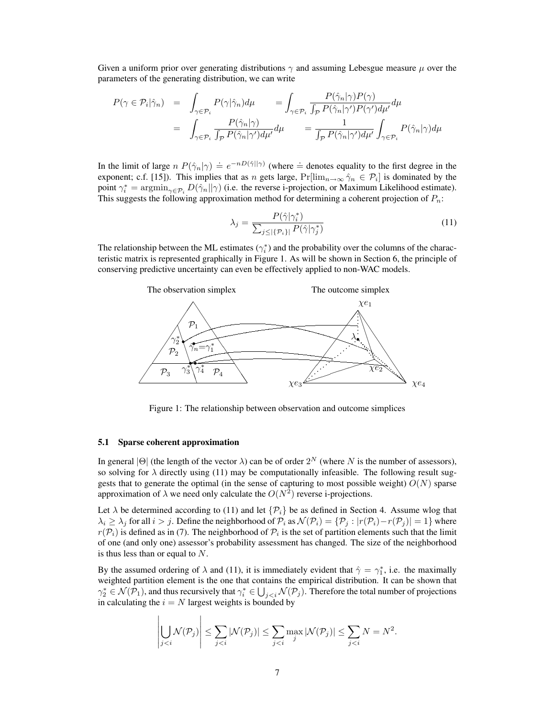Given a uniform prior over generating distributions  $\gamma$  and assuming Lebesgue measure  $\mu$  over the parameters of the generating distribution, we can write

$$
P(\gamma \in \mathcal{P}_i | \hat{\gamma}_n) = \int_{\gamma \in \mathcal{P}_i} P(\gamma | \hat{\gamma}_n) d\mu = \int_{\gamma \in \mathcal{P}_i} \frac{P(\hat{\gamma}_n | \gamma) P(\gamma)}{\int_{\mathcal{P}} P(\hat{\gamma}_n | \gamma') P(\gamma') d\mu'} d\mu
$$
  
= 
$$
\int_{\gamma \in \mathcal{P}_i} \frac{P(\hat{\gamma}_n | \gamma)}{\int_{\mathcal{P}} P(\hat{\gamma}_n | \gamma') d\mu'} d\mu = \frac{1}{\int_{\mathcal{P}} P(\hat{\gamma}_n | \gamma') d\mu'} \int_{\gamma \in \mathcal{P}_i} P(\hat{\gamma}_n | \gamma) d\mu
$$

In the limit of large  $n P(\hat{\gamma}_n|\gamma) \doteq e^{-nD(\hat{\gamma}||\gamma)}$  (where  $\doteq$  denotes equality to the first degree in the exponent; c.f. [15]). This implies that as n gets large,  $Pr[\lim_{n\to\infty}\hat{\gamma}_n \in \mathcal{P}_i]$  is dominated by the point  $\gamma_i^* = \operatorname{argmin}_{\gamma \in \mathcal{P}_i} D(\hat{\gamma}_n || \gamma)$  (i.e. the reverse i-projection, or Maximum Likelihood estimate). This suggests the following approximation method for determining a coherent projection of  $P_n$ :

$$
\lambda_j = \frac{P(\hat{\gamma}|\gamma_i^*)}{\sum_{j \le |\{\mathcal{P}_i\}|} P(\hat{\gamma}|\gamma_j^*)}
$$
\n(11)

The relationship between the ML estimates  $(\gamma_i^*)$  and the probability over the columns of the characteristic matrix is represented graphically in Figure 1. As will be shown in Section 6, the principle of conserving predictive uncertainty can even be effectively applied to non-WAC models.



Figure 1: The relationship between observation and outcome simplices

#### 5.1 Sparse coherent approximation

 $\overline{a}$ 

In general  $|\Theta|$  (the length of the vector  $\lambda$ ) can be of order  $2^N$  (where N is the number of assessors), so solving for  $\lambda$  directly using (11) may be computationally infeasible. The following result suggests that to generate the optimal (in the sense of capturing to most possible weight)  $O(N)$  sparse approximation of  $\lambda$  we need only calculate the  $O(N^2)$  reverse i-projections.

Let  $\lambda$  be determined according to (11) and let  $\{\mathcal{P}_i\}$  be as defined in Section 4. Assume wlog that  $\lambda_i \geq \lambda_j$  for all  $i > j$ . Define the neighborhood of  $\mathcal{P}_i$  as  $\mathcal{N}(\mathcal{P}_i) = \{\mathcal{P}_j : |r(\mathcal{P}_i) - r(\mathcal{P}_j)| = 1\}$  where  $r(\mathcal{P}_i)$  is defined as in (7). The neighborhood of  $\mathcal{P}_i$  is the set of partition elements such that the limit of one (and only one) assessor's probability assessment has changed. The size of the neighborhood is thus less than or equal to  $N$ .

By the assumed ordering of  $\lambda$  and (11), it is immediately evident that  $\hat{\gamma} = \gamma_1^*$ , i.e. the maximally weighted partition element is the one that contains the empirical distribution. It can be shown that  $\gamma_2^* \in \mathcal{N}(\mathcal{P}_1)$ , and thus recursively that  $\gamma_i^* \in \bigcup_{j. Therefore the total number of projections$ in calculating the  $i = N$  largest weights is bounded by

$$
\left|\bigcup_{j
$$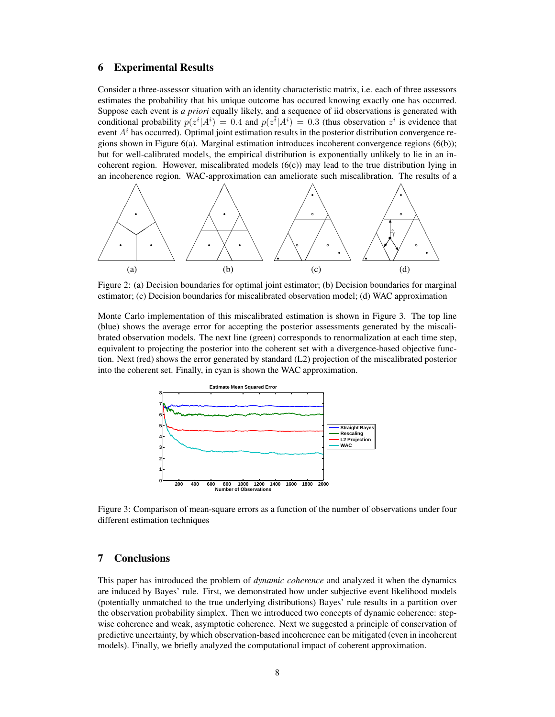# 6 Experimental Results

Consider a three-assessor situation with an identity characteristic matrix, i.e. each of three assessors estimates the probability that his unique outcome has occured knowing exactly one has occurred. Suppose each event is *a priori* equally likely, and a sequence of iid observations is generated with conditional probability  $p(z^i|A^i) = 0.4$  and  $p(z^{\bar{i}}|A^i) = 0.3$  (thus observation  $z^i$  is evidence that event  $A<sup>i</sup>$  has occurred). Optimal joint estimation results in the posterior distribution convergence regions shown in Figure 6(a). Marginal estimation introduces incoherent convergence regions (6(b)); but for well-calibrated models, the empirical distribution is exponentially unlikely to lie in an incoherent region. However, miscalibrated models  $(6(c))$  may lead to the true distribution lying in an incoherence region. WAC-approximation can ameliorate such miscalibration. The results of a



Figure 2: (a) Decision boundaries for optimal joint estimator; (b) Decision boundaries for marginal estimator; (c) Decision boundaries for miscalibrated observation model; (d) WAC approximation

Monte Carlo implementation of this miscalibrated estimation is shown in Figure 3. The top line (blue) shows the average error for accepting the posterior assessments generated by the miscalibrated observation models. The next line (green) corresponds to renormalization at each time step, equivalent to projecting the posterior into the coherent set with a divergence-based objective function. Next (red) shows the error generated by standard (L2) projection of the miscalibrated posterior into the coherent set. Finally, in cyan is shown the WAC approximation.



Figure 3: Comparison of mean-square errors as a function of the number of observations under four different estimation techniques

# 7 Conclusions

This paper has introduced the problem of *dynamic coherence* and analyzed it when the dynamics are induced by Bayes' rule. First, we demonstrated how under subjective event likelihood models (potentially unmatched to the true underlying distributions) Bayes' rule results in a partition over the observation probability simplex. Then we introduced two concepts of dynamic coherence: stepwise coherence and weak, asymptotic coherence. Next we suggested a principle of conservation of predictive uncertainty, by which observation-based incoherence can be mitigated (even in incoherent models). Finally, we briefly analyzed the computational impact of coherent approximation.